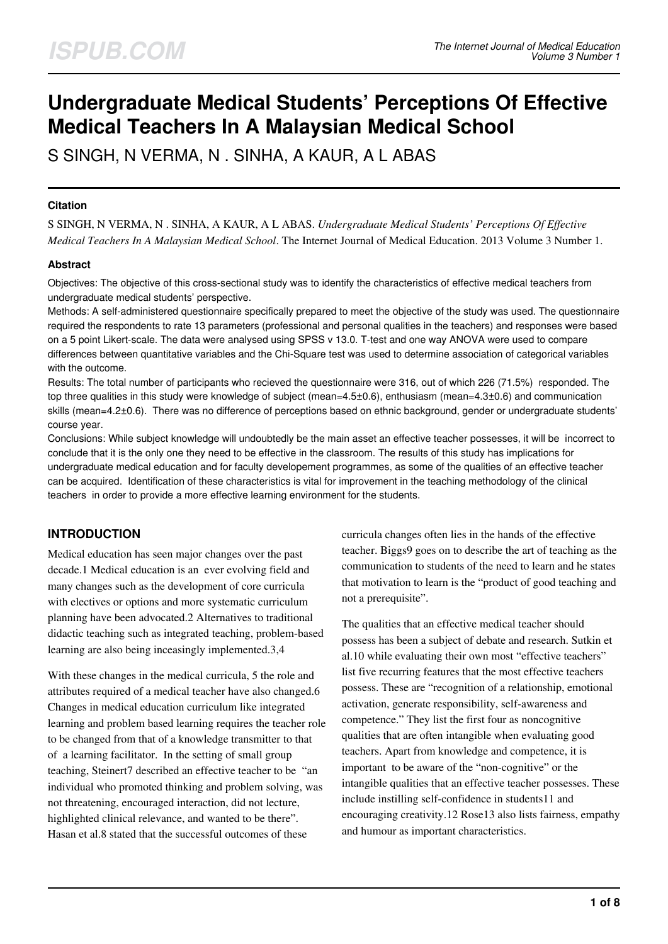# **Undergraduate Medical Students' Perceptions Of Effective Medical Teachers In A Malaysian Medical School**

S SINGH, N VERMA, N . SINHA, A KAUR, A L ABAS

#### **Citation**

S SINGH, N VERMA, N . SINHA, A KAUR, A L ABAS. *Undergraduate Medical Students' Perceptions Of Effective Medical Teachers In A Malaysian Medical School*. The Internet Journal of Medical Education. 2013 Volume 3 Number 1.

#### **Abstract**

Objectives: The objective of this cross-sectional study was to identify the characteristics of effective medical teachers from undergraduate medical students' perspective.

Methods: A self-administered questionnaire specifically prepared to meet the objective of the study was used. The questionnaire required the respondents to rate 13 parameters (professional and personal qualities in the teachers) and responses were based on a 5 point Likert-scale. The data were analysed using SPSS v 13.0. T-test and one way ANOVA were used to compare differences between quantitative variables and the Chi-Square test was used to determine association of categorical variables with the outcome.

Results: The total number of participants who recieved the questionnaire were 316, out of which 226 (71.5%) responded. The top three qualities in this study were knowledge of subject (mean=4.5±0.6), enthusiasm (mean=4.3±0.6) and communication skills (mean=4.2±0.6). There was no difference of perceptions based on ethnic background, gender or undergraduate students' course year.

Conclusions: While subject knowledge will undoubtedly be the main asset an effective teacher possesses, it will be incorrect to conclude that it is the only one they need to be effective in the classroom. The results of this study has implications for undergraduate medical education and for faculty developement programmes, as some of the qualities of an effective teacher can be acquired. Identification of these characteristics is vital for improvement in the teaching methodology of the clinical teachers in order to provide a more effective learning environment for the students.

## **INTRODUCTION**

Medical education has seen major changes over the past decade.1 Medical education is an ever evolving field and many changes such as the development of core curricula with electives or options and more systematic curriculum planning have been advocated.2 Alternatives to traditional didactic teaching such as integrated teaching, problem-based learning are also being inceasingly implemented.3,4

With these changes in the medical curricula, 5 the role and attributes required of a medical teacher have also changed.6 Changes in medical education curriculum like integrated learning and problem based learning requires the teacher role to be changed from that of a knowledge transmitter to that of a learning facilitator. In the setting of small group teaching, Steinert7 described an effective teacher to be "an individual who promoted thinking and problem solving, was not threatening, encouraged interaction, did not lecture, highlighted clinical relevance, and wanted to be there". Hasan et al.8 stated that the successful outcomes of these

curricula changes often lies in the hands of the effective teacher. Biggs9 goes on to describe the art of teaching as the communication to students of the need to learn and he states that motivation to learn is the "product of good teaching and not a prerequisite".

The qualities that an effective medical teacher should possess has been a subject of debate and research. Sutkin et al.10 while evaluating their own most "effective teachers" list five recurring features that the most effective teachers possess. These are "recognition of a relationship, emotional activation, generate responsibility, self-awareness and competence." They list the first four as noncognitive qualities that are often intangible when evaluating good teachers. Apart from knowledge and competence, it is important to be aware of the "non-cognitive" or the intangible qualities that an effective teacher possesses. These include instilling self-confidence in students11 and encouraging creativity.12 Rose13 also lists fairness, empathy and humour as important characteristics.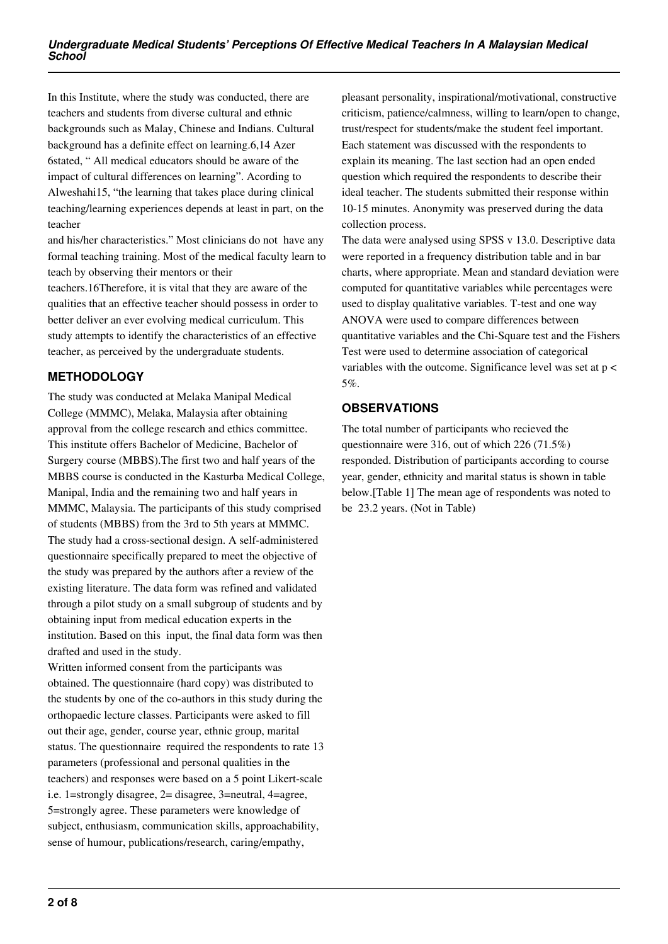In this Institute, where the study was conducted, there are teachers and students from diverse cultural and ethnic backgrounds such as Malay, Chinese and Indians. Cultural background has a definite effect on learning.6,14 Azer 6stated, " All medical educators should be aware of the impact of cultural differences on learning". Acording to Alweshahi15, "the learning that takes place during clinical teaching/learning experiences depends at least in part, on the teacher

and his/her characteristics." Most clinicians do not have any formal teaching training. Most of the medical faculty learn to teach by observing their mentors or their

teachers.16Therefore, it is vital that they are aware of the qualities that an effective teacher should possess in order to better deliver an ever evolving medical curriculum. This study attempts to identify the characteristics of an effective teacher, as perceived by the undergraduate students.

## **METHODOLOGY**

The study was conducted at Melaka Manipal Medical College (MMMC), Melaka, Malaysia after obtaining approval from the college research and ethics committee. This institute offers Bachelor of Medicine, Bachelor of Surgery course (MBBS).The first two and half years of the MBBS course is conducted in the Kasturba Medical College, Manipal, India and the remaining two and half years in MMMC, Malaysia. The participants of this study comprised of students (MBBS) from the 3rd to 5th years at MMMC. The study had a cross-sectional design. A self-administered questionnaire specifically prepared to meet the objective of the study was prepared by the authors after a review of the existing literature. The data form was refined and validated through a pilot study on a small subgroup of students and by obtaining input from medical education experts in the institution. Based on this input, the final data form was then drafted and used in the study.

Written informed consent from the participants was obtained. The questionnaire (hard copy) was distributed to the students by one of the co-authors in this study during the orthopaedic lecture classes. Participants were asked to fill out their age, gender, course year, ethnic group, marital status. The questionnaire required the respondents to rate 13 parameters (professional and personal qualities in the teachers) and responses were based on a 5 point Likert-scale i.e. 1=strongly disagree, 2= disagree, 3=neutral, 4=agree, 5=strongly agree. These parameters were knowledge of subject, enthusiasm, communication skills, approachability, sense of humour, publications/research, caring/empathy,

pleasant personality, inspirational/motivational, constructive criticism, patience/calmness, willing to learn/open to change, trust/respect for students/make the student feel important. Each statement was discussed with the respondents to explain its meaning. The last section had an open ended question which required the respondents to describe their ideal teacher. The students submitted their response within 10-15 minutes. Anonymity was preserved during the data collection process.

The data were analysed using SPSS v 13.0. Descriptive data were reported in a frequency distribution table and in bar charts, where appropriate. Mean and standard deviation were computed for quantitative variables while percentages were used to display qualitative variables. T-test and one way ANOVA were used to compare differences between quantitative variables and the Chi-Square test and the Fishers Test were used to determine association of categorical variables with the outcome. Significance level was set at  $p <$ 5%.

## **OBSERVATIONS**

The total number of participants who recieved the questionnaire were 316, out of which 226 (71.5%) responded. Distribution of participants according to course year, gender, ethnicity and marital status is shown in table below.[Table 1] The mean age of respondents was noted to be 23.2 years. (Not in Table)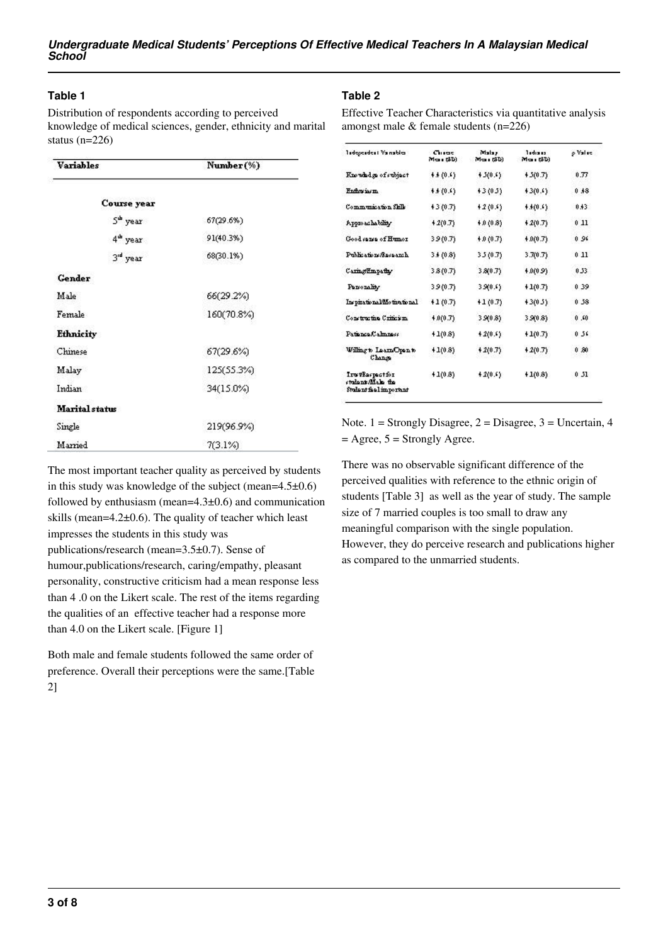#### **Table 1**

Distribution of respondents according to perceived knowledge of medical sciences, gender, ethnicity and marital status (n=226)

| <b>Variables</b>      | Number(%)  |  |  |
|-----------------------|------------|--|--|
| Course year           |            |  |  |
| S <sup>ub</sup> year  | 67(29.6%)  |  |  |
| 4 <sup>th</sup> year  | 91(40.3%)  |  |  |
| 3 <sup>rd</sup> year  | 68(30.1%)  |  |  |
| <b>Gender</b>         |            |  |  |
| Male                  | 66(29.2%)  |  |  |
| Female                | 160(70.8%) |  |  |
| <b>Ethnicity</b>      |            |  |  |
| Chinese               | 67(29.6%)  |  |  |
| Malay                 | 125(55.3%) |  |  |
| Indian                | 34(15.0%)  |  |  |
| <b>Marital</b> status |            |  |  |
| Single                | 219(96.9%) |  |  |
| Married               | 7(3.1%)    |  |  |

#### **Table 2**

Effective Teacher Characteristics via quantitative analysis amongst male & female students (n=226)

| Tadopeadeal Vainables                                         | Chicas<br>Maur&D) | Malax<br>Max (3D) | Tedra as<br>Mean (SD) | o Value |
|---------------------------------------------------------------|-------------------|-------------------|-----------------------|---------|
| Knowhdge of subject                                           | 4.4(0.6)          | $+3(0.6)$         | $+3(0.7)$             | 0.77    |
| <b>Fritoniaem</b>                                             | $+4(0.6)$         | 43(03)            | 43(0.6)               | 0,18    |
| Communication Shile                                           | $+3(0.7)$         | $+2(0.5)$         | $**(0.5)$             | 0.43    |
| Approachability                                               | 42(0.7)           | $+0(0.8)$         | $+2(0.7)$             | 011     |
| Good same of Humor                                            | 39(0.7)           | $+0(0.7)$         | $+0(0.7)$             | 0.96    |
| Publications/Research                                         | 3.4(0.8)          | 3.5(0.7)          | 3.7(0.7)              | 011     |
| Caring Empathy                                                | 3.8(0.7)          | 3.8(0.7)          | $+0(0.9)$             | 0.53    |
| Parsonality                                                   | 39(0.7)           | 3.9(0.4)          | $+1(0.7)$             | 0.39    |
| Inspirational/Motivational                                    | +1 (0.7)          | $+1(0.7)$         | $+3(0.5)$             | 0.58    |
| Constructive Criticism.                                       | $+0(0.7)$         | 3.9(0.8)          | 3.9(0.8)              | 0.60    |
| Patience Calmress                                             | $+1(0.8)$         | $+2(0.6)$         | $+1(0.7)$             | 0.56    |
| Willing to Laam Opan to<br>Change                             | $+1(0.8)$         | $+2(0.7)$         | $+2(0.7)$             | 0,80    |
| IrutEaspectfor<br>students/Male the<br>Student fiel important | $+1(0.8)$         | $+2(0.5)$         | $+1(0.8)$             | 031     |

Note.  $1 =$  Strongly Disagree,  $2 =$  Disagree,  $3 =$  Uncertain, 4  $=$  Agree,  $5 =$  Strongly Agree.

There was no observable significant difference of the perceived qualities with reference to the ethnic origin of students [Table 3] as well as the year of study. The sample size of 7 married couples is too small to draw any meaningful comparison with the single population. However, they do perceive research and publications higher as compared to the unmarried students.

The most important teacher quality as perceived by students in this study was knowledge of the subject (mean=4.5±0.6) followed by enthusiasm (mean= $4.3\pm0.6$ ) and communication skills (mean=4.2±0.6). The quality of teacher which least impresses the students in this study was publications/research (mean=3.5±0.7). Sense of humour,publications/research, caring/empathy, pleasant personality, constructive criticism had a mean response less than 4 .0 on the Likert scale. The rest of the items regarding the qualities of an effective teacher had a response more than 4.0 on the Likert scale. [Figure 1]

Both male and female students followed the same order of preference. Overall their perceptions were the same.[Table 2]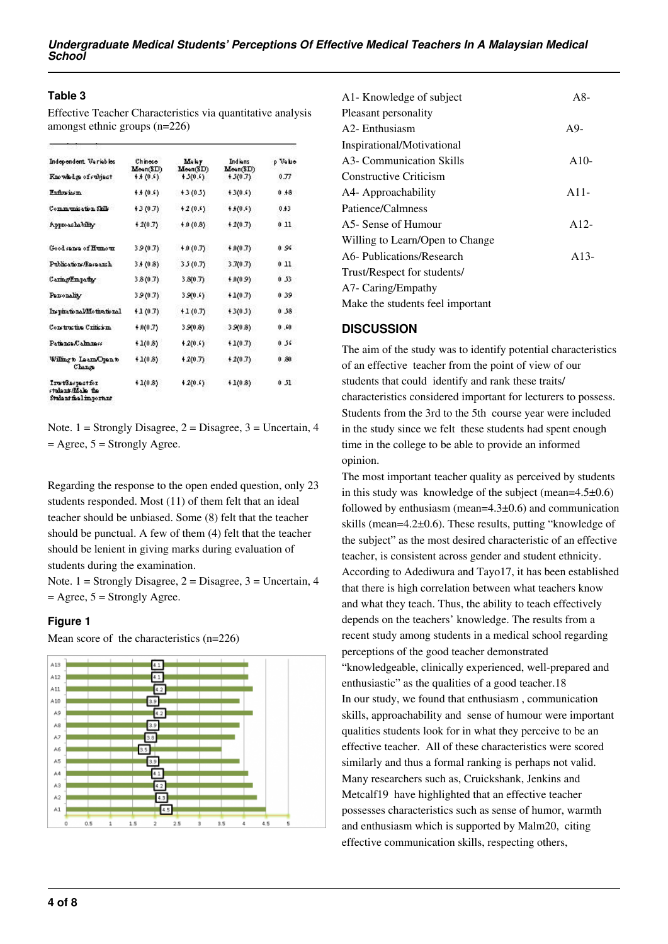#### **Table 3**

Effective Teacher Characteristics via quantitative analysis amongst ethnic groups (n=226)

| Independent, Variables                                         | Chinese<br>Meen(SD) | Mekr<br>Moon(SD) | Indians<br>Meen(SD) | p Velse |
|----------------------------------------------------------------|---------------------|------------------|---------------------|---------|
| Knowhden of subject                                            | $+1(0.5)$           | $+3(0.6)$        | $+3(0.7)$           | 0.77    |
| Enflowingm                                                     | $+4(0.5)$           | 43 (0.5)         | $+3(0.5)$           | 0,18    |
| Communication Shik                                             | 43 (0.7)            | 42(0.6)          | 4.4(0.6)            | 0.43    |
| Approachability                                                | $+2(0.7)$           | $+0(0.8)$        | $+2(0.7)$           | 011     |
| Good same of Humour                                            | 39(0.7)             | $+0(0.7)$        | $+9(0.7)$           | 0.96    |
| Publications/Research                                          | 3.4(0.8)            | 3.5(0.7)         | 3.7(0.7)            | 011     |
| Caring Empathy                                                 | 3.8 (0.7)           | 3.8(0.7)         | 4.0(0.9)            | 0.53    |
| Parsonality                                                    | 39(0.7)             | 3.9(0.6)         | $+1(0.7)$           | 0.39    |
| Incpirational/Motivational                                     | $+1(0.7)$           | $+1(0.7)$        | $+3(0.5)$           | 0.58    |
| Construction Criticism.                                        | $+0(0.7)$           | 3.9(0.8)         | 3.9(0.8)            | 0.60    |
| Patience Calmress                                              | 41(0.8)             | $+2(0.5)$        | $+1(0.7)$           | 0.56    |
| Willing to Laun Open to<br>Chans                               | $+1(0.8)$           | $+2(0.7)$        | $+2(0.7)$           | 0.80    |
| Iru tkaspastion<br>ctode at Male the<br>Student fiel important | 41(0.8)             | $+2(0.5)$        | $+1(0.8)$           | 031     |

Note.  $1 =$  Strongly Disagree,  $2 =$  Disagree,  $3 =$  Uncertain, 4  $=$  Agree,  $5 =$  Strongly Agree.

Regarding the response to the open ended question, only 23 students responded. Most (11) of them felt that an ideal teacher should be unbiased. Some (8) felt that the teacher should be punctual. A few of them (4) felt that the teacher should be lenient in giving marks during evaluation of students during the examination.

Note.  $1 =$  Strongly Disagree,  $2 =$  Disagree,  $3 =$  Uncertain, 4  $=$  Agree,  $5 =$  Strongly Agree.

### **Figure 1**

Mean score of the characteristics (n=226)



| $A8-$  |
|--------|
|        |
| $A9-$  |
|        |
| $A10-$ |
|        |
| $A11-$ |
|        |
| $A12-$ |
|        |
| $A13-$ |
|        |
|        |
|        |
|        |

#### **DISCUSSION**

The aim of the study was to identify potential characteristics of an effective teacher from the point of view of our students that could identify and rank these traits/ characteristics considered important for lecturers to possess. Students from the 3rd to the 5th course year were included in the study since we felt these students had spent enough time in the college to be able to provide an informed opinion.

The most important teacher quality as perceived by students in this study was knowledge of the subject (mean=4.5±0.6) followed by enthusiasm (mean=4.3±0.6) and communication skills (mean=4.2±0.6). These results, putting "knowledge of the subject" as the most desired characteristic of an effective teacher, is consistent across gender and student ethnicity. According to Adediwura and Tayo17, it has been established that there is high correlation between what teachers know and what they teach. Thus, the ability to teach effectively depends on the teachers' knowledge. The results from a recent study among students in a medical school regarding perceptions of the good teacher demonstrated "knowledgeable, clinically experienced, well-prepared and enthusiastic" as the qualities of a good teacher.18 In our study, we found that enthusiasm , communication skills, approachability and sense of humour were important qualities students look for in what they perceive to be an effective teacher. All of these characteristics were scored similarly and thus a formal ranking is perhaps not valid. Many researchers such as, Cruickshank, Jenkins and Metcalf19 have highlighted that an effective teacher possesses characteristics such as sense of humor, warmth and enthusiasm which is supported by Malm20, citing effective communication skills, respecting others,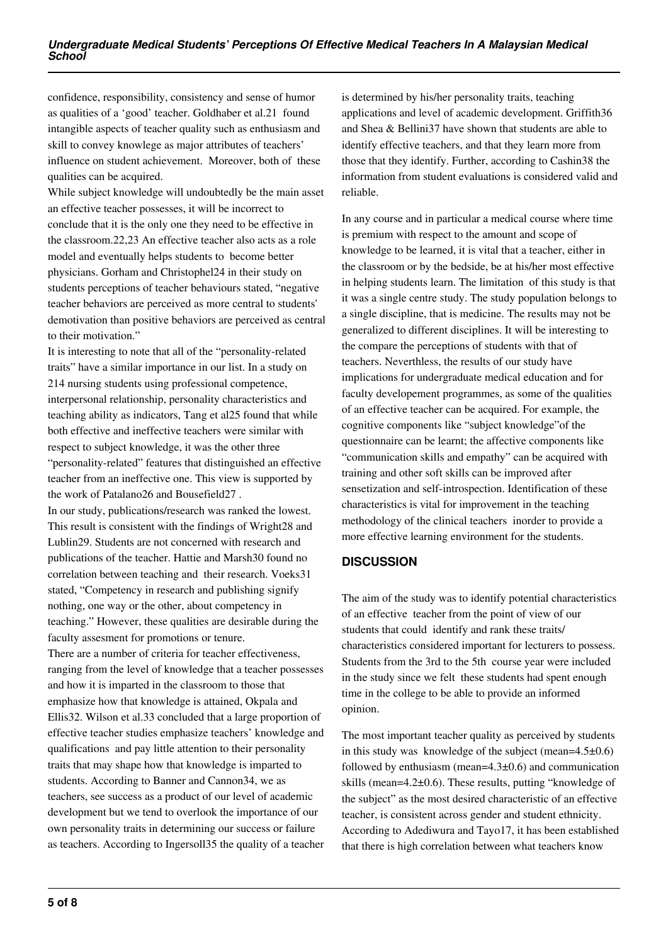confidence, responsibility, consistency and sense of humor as qualities of a 'good' teacher. Goldhaber et al.21 found intangible aspects of teacher quality such as enthusiasm and skill to convey knowlege as major attributes of teachers' influence on student achievement. Moreover, both of these qualities can be acquired.

While subject knowledge will undoubtedly be the main asset an effective teacher possesses, it will be incorrect to conclude that it is the only one they need to be effective in the classroom.22,23 An effective teacher also acts as a role model and eventually helps students to become better physicians. Gorham and Christophel24 in their study on students perceptions of teacher behaviours stated, "negative teacher behaviors are perceived as more central to students' demotivation than positive behaviors are perceived as central to their motivation."

It is interesting to note that all of the "personality-related traits" have a similar importance in our list. In a study on 214 nursing students using professional competence, interpersonal relationship, personality characteristics and teaching ability as indicators, Tang et al25 found that while both effective and ineffective teachers were similar with respect to subject knowledge, it was the other three "personality-related" features that distinguished an effective teacher from an ineffective one. This view is supported by the work of Patalano26 and Bousefield27 .

In our study, publications/research was ranked the lowest. This result is consistent with the findings of Wright28 and Lublin29. Students are not concerned with research and publications of the teacher. Hattie and Marsh30 found no correlation between teaching and their research. Voeks31 stated, "Competency in research and publishing signify nothing, one way or the other, about competency in teaching." However, these qualities are desirable during the faculty assesment for promotions or tenure.

There are a number of criteria for teacher effectiveness, ranging from the level of knowledge that a teacher possesses and how it is imparted in the classroom to those that emphasize how that knowledge is attained, Okpala and Ellis32. Wilson et al.33 concluded that a large proportion of effective teacher studies emphasize teachers' knowledge and qualifications and pay little attention to their personality traits that may shape how that knowledge is imparted to students. According to Banner and Cannon34, we as teachers, see success as a product of our level of academic development but we tend to overlook the importance of our own personality traits in determining our success or failure as teachers. According to Ingersoll35 the quality of a teacher is determined by his/her personality traits, teaching applications and level of academic development. Griffith36 and Shea & Bellini37 have shown that students are able to identify effective teachers, and that they learn more from those that they identify. Further, according to Cashin38 the information from student evaluations is considered valid and reliable.

In any course and in particular a medical course where time is premium with respect to the amount and scope of knowledge to be learned, it is vital that a teacher, either in the classroom or by the bedside, be at his/her most effective in helping students learn. The limitation of this study is that it was a single centre study. The study population belongs to a single discipline, that is medicine. The results may not be generalized to different disciplines. It will be interesting to the compare the perceptions of students with that of teachers. Neverthless, the results of our study have implications for undergraduate medical education and for faculty developement programmes, as some of the qualities of an effective teacher can be acquired. For example, the cognitive components like "subject knowledge"of the questionnaire can be learnt; the affective components like "communication skills and empathy" can be acquired with training and other soft skills can be improved after sensetization and self-introspection. Identification of these characteristics is vital for improvement in the teaching methodology of the clinical teachers inorder to provide a more effective learning environment for the students.

### **DISCUSSION**

The aim of the study was to identify potential characteristics of an effective teacher from the point of view of our students that could identify and rank these traits/ characteristics considered important for lecturers to possess. Students from the 3rd to the 5th course year were included in the study since we felt these students had spent enough time in the college to be able to provide an informed opinion.

The most important teacher quality as perceived by students in this study was knowledge of the subject (mean= $4.5\pm0.6$ ) followed by enthusiasm (mean= $4.3\pm0.6$ ) and communication skills (mean=4.2±0.6). These results, putting "knowledge of the subject" as the most desired characteristic of an effective teacher, is consistent across gender and student ethnicity. According to Adediwura and Tayo17, it has been established that there is high correlation between what teachers know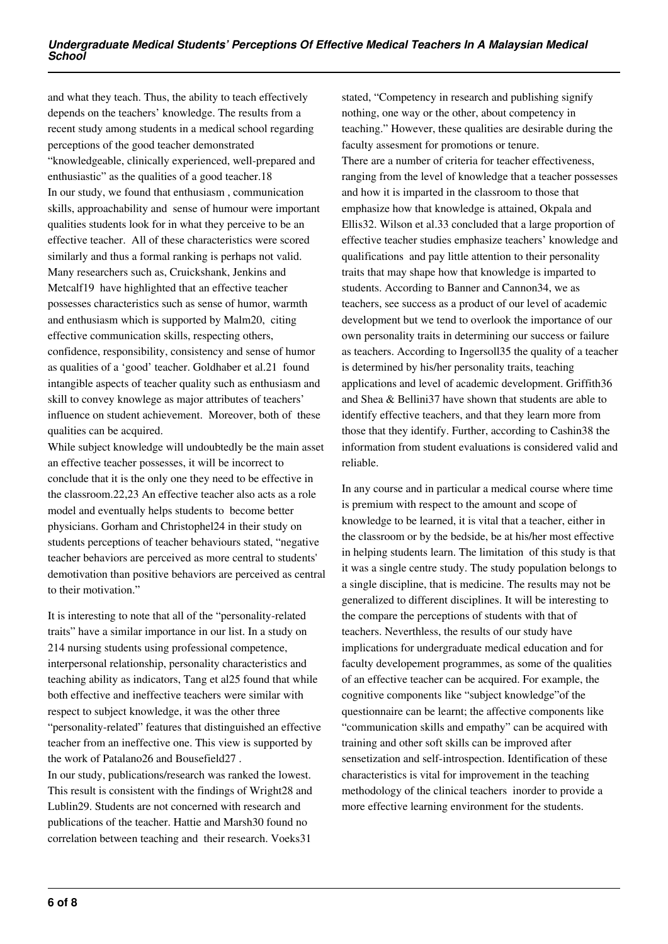and what they teach. Thus, the ability to teach effectively depends on the teachers' knowledge. The results from a recent study among students in a medical school regarding perceptions of the good teacher demonstrated "knowledgeable, clinically experienced, well-prepared and enthusiastic" as the qualities of a good teacher.18 In our study, we found that enthusiasm , communication skills, approachability and sense of humour were important qualities students look for in what they perceive to be an effective teacher. All of these characteristics were scored similarly and thus a formal ranking is perhaps not valid. Many researchers such as, Cruickshank, Jenkins and Metcalf19 have highlighted that an effective teacher possesses characteristics such as sense of humor, warmth and enthusiasm which is supported by Malm20, citing effective communication skills, respecting others, confidence, responsibility, consistency and sense of humor as qualities of a 'good' teacher. Goldhaber et al.21 found intangible aspects of teacher quality such as enthusiasm and skill to convey knowlege as major attributes of teachers' influence on student achievement. Moreover, both of these qualities can be acquired.

While subject knowledge will undoubtedly be the main asset an effective teacher possesses, it will be incorrect to conclude that it is the only one they need to be effective in the classroom.22,23 An effective teacher also acts as a role model and eventually helps students to become better physicians. Gorham and Christophel24 in their study on students perceptions of teacher behaviours stated, "negative teacher behaviors are perceived as more central to students' demotivation than positive behaviors are perceived as central to their motivation."

It is interesting to note that all of the "personality-related traits" have a similar importance in our list. In a study on 214 nursing students using professional competence, interpersonal relationship, personality characteristics and teaching ability as indicators, Tang et al25 found that while both effective and ineffective teachers were similar with respect to subject knowledge, it was the other three "personality-related" features that distinguished an effective teacher from an ineffective one. This view is supported by the work of Patalano26 and Bousefield27 . In our study, publications/research was ranked the lowest.

This result is consistent with the findings of Wright28 and Lublin29. Students are not concerned with research and publications of the teacher. Hattie and Marsh30 found no correlation between teaching and their research. Voeks31

stated, "Competency in research and publishing signify nothing, one way or the other, about competency in teaching." However, these qualities are desirable during the faculty assesment for promotions or tenure. There are a number of criteria for teacher effectiveness, ranging from the level of knowledge that a teacher possesses and how it is imparted in the classroom to those that emphasize how that knowledge is attained, Okpala and Ellis32. Wilson et al.33 concluded that a large proportion of effective teacher studies emphasize teachers' knowledge and qualifications and pay little attention to their personality traits that may shape how that knowledge is imparted to students. According to Banner and Cannon34, we as teachers, see success as a product of our level of academic development but we tend to overlook the importance of our own personality traits in determining our success or failure as teachers. According to Ingersoll35 the quality of a teacher is determined by his/her personality traits, teaching applications and level of academic development. Griffith36 and Shea & Bellini37 have shown that students are able to identify effective teachers, and that they learn more from those that they identify. Further, according to Cashin38 the information from student evaluations is considered valid and reliable.

In any course and in particular a medical course where time is premium with respect to the amount and scope of knowledge to be learned, it is vital that a teacher, either in the classroom or by the bedside, be at his/her most effective in helping students learn. The limitation of this study is that it was a single centre study. The study population belongs to a single discipline, that is medicine. The results may not be generalized to different disciplines. It will be interesting to the compare the perceptions of students with that of teachers. Neverthless, the results of our study have implications for undergraduate medical education and for faculty developement programmes, as some of the qualities of an effective teacher can be acquired. For example, the cognitive components like "subject knowledge"of the questionnaire can be learnt; the affective components like "communication skills and empathy" can be acquired with training and other soft skills can be improved after sensetization and self-introspection. Identification of these characteristics is vital for improvement in the teaching methodology of the clinical teachers inorder to provide a more effective learning environment for the students.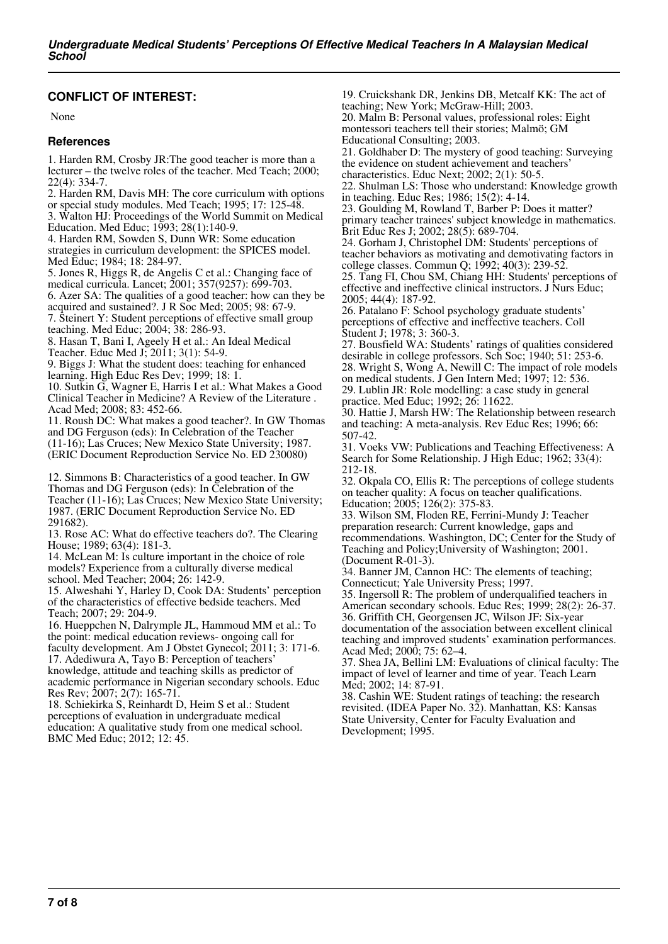#### **CONFLICT OF INTEREST:**

None

#### **References**

1. Harden RM, Crosby JR:The good teacher is more than a lecturer – the twelve roles of the teacher. Med Teach; 2000; 22(4): 334-7.

2. Harden RM, Davis MH: The core curriculum with options or special study modules. Med Teach; 1995; 17: 125-48.

3. Walton HJ: Proceedings of the World Summit on Medical

Education. Med Educ; 1993; 28(1):140-9.

4. Harden RM, Sowden S, Dunn WR: Some education strategies in curriculum development: the SPICES model. Med Educ; 1984; 18: 284-97.

5. Jones R, Higgs R, de Angelis C et al.: Changing face of medical curricula. Lancet; 2001; 357(9257): 699-703.

6. Azer SA: The qualities of a good teacher: how can they be acquired and sustained?. J R Soc Med; 2005; 98: 67-9.

7. Steinert Y: Student perceptions of effective small group teaching. Med Educ; 2004; 38: 286-93.

8. Hasan T, Bani I, Ageely H et al.: An Ideal Medical

Teacher. Educ Med J; 2011; 3(1): 54-9. 9. Biggs J: What the student does: teaching for enhanced

learning. High Educ Res Dev; 1999; 18: 1.

10. Sutkin G, Wagner E, Harris I et al.: What Makes a Good Clinical Teacher in Medicine? A Review of the Literature . Acad Med; 2008; 83: 452-66.

11. Roush DC: What makes a good teacher?. In GW Thomas and DG Ferguson (eds): In Celebration of the Teacher (11-16); Las Cruces; New Mexico State University; 1987. (ERIC Document Reproduction Service No. ED 230080)

12. Simmons B: Characteristics of a good teacher. In GW Thomas and DG Ferguson (eds): In Celebration of the Teacher (11-16); Las Cruces; New Mexico State University; 1987. (ERIC Document Reproduction Service No. ED 291682).

13. Rose AC: What do effective teachers do?. The Clearing House; 1989; 63(4): 181-3.

14. McLean M: Is culture important in the choice of role models? Experience from a culturally diverse medical school. Med Teacher; 2004; 26: 142-9.

15. Alweshahi Y, Harley D, Cook DA: Students' perception of the characteristics of effective bedside teachers. Med Teach; 2007; 29: 204-9.

16. Hueppchen N, Dalrymple JL, Hammoud MM et al.: To the point: medical education reviews- ongoing call for faculty development. Am J Obstet Gynecol; 2011; 3: 171-6. 17. Adediwura A, Tayo B: Perception of teachers' knowledge, attitude and teaching skills as predictor of academic performance in Nigerian secondary schools. Educ

Res Rev; 2007; 2(7): 165-71. 18. Schiekirka S, Reinhardt D, Heim S et al.: Student

perceptions of evaluation in undergraduate medical education: A qualitative study from one medical school. BMC Med Educ; 2012; 12: 45.

19. Cruickshank DR, Jenkins DB, Metcalf KK: The act of teaching; New York; McGraw-Hill; 2003.

20. Malm B: Personal values, professional roles: Eight montessori teachers tell their stories; Malmö; GM Educational Consulting; 2003.

21. Goldhaber D: The mystery of good teaching: Surveying the evidence on student achievement and teachers'

characteristics. Educ Next; 2002; 2(1): 50-5.

22. Shulman LS: Those who understand: Knowledge growth in teaching. Educ Res; 1986; 15(2): 4-14.

23. Goulding M, Rowland T, Barber P: Does it matter? primary teacher trainees' subject knowledge in mathematics. Brit Educ Res J; 2002; 28(5): 689-704.

24. Gorham J, Christophel DM: Students' perceptions of teacher behaviors as motivating and demotivating factors in college classes. Commun Q; 1992; 40(3): 239-52.

25. Tang FI, Chou SM, Chiang HH: Students' perceptions of effective and ineffective clinical instructors. J Nurs Educ; 2005; 44(4): 187-92.

26. Patalano F: School psychology graduate students' perceptions of effective and ineffective teachers. Coll Student J; 1978; 3: 360-3.

27. Bousfield WA: Students' ratings of qualities considered desirable in college professors. Sch Soc; 1940; 51: 253-6. 28. Wright S, Wong A, Newill C: The impact of role models on medical students. J Gen Intern Med; 1997; 12: 536. 29. Lublin JR: Role modelling: a case study in general practice. Med Educ; 1992; 26: 11622.

30. Hattie J, Marsh HW: The Relationship between research and teaching: A meta-analysis. Rev Educ Res; 1996; 66: 507-42.

31. Voeks VW: Publications and Teaching Effectiveness: A Search for Some Relationship. J High Educ; 1962; 33(4): 212-18.

32. Okpala CO, Ellis R: The perceptions of college students on teacher quality: A focus on teacher qualifications. Education; 2005; 126(2): 375-83.

33. Wilson SM, Floden RE, Ferrini-Mundy J: Teacher preparation research: Current knowledge, gaps and recommendations. Washington, DC; Center for the Study of Teaching and Policy;University of Washington; 2001. (Document R-01-3).

34. Banner JM, Cannon HC: The elements of teaching; Connecticut; Yale University Press; 1997.

35. Ingersoll R: The problem of underqualified teachers in American secondary schools. Educ Res; 1999; 28(2): 26-37. 36. Griffith CH, Georgensen JC, Wilson JF: Six-year documentation of the association between excellent clinical teaching and improved students' examination performances. Acad Med; 2000; 75: 62–4.

37. Shea JA, Bellini LM: Evaluations of clinical faculty: The impact of level of learner and time of year. Teach Learn Med; 2002; 14: 87-91.

38. Cashin WE: Student ratings of teaching: the research revisited. (IDEA Paper No. 32). Manhattan, KS: Kansas State University, Center for Faculty Evaluation and Development; 1995.